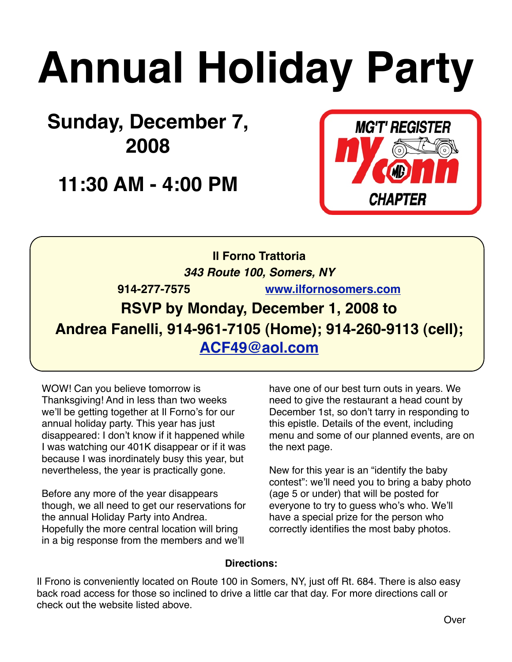# **Annual Holiday Party**

**Sunday, December 7, 2008**

**11:30 AM - 4:00 PM**



**Il Forno Trattoria**  *343 Route 100, Somers, NY* **914-277-7575 [www.ilfornosomers.com](http://www.ilfornosomers.com) RSVP by Monday, December 1, 2008 to Andrea Fanelli, 914-961-7105 (Home); 914-260-9113 (cell); [ACF49@aol.com](mailto:ACF49@aol.com)**

WOW! Can you believe tomorrow is Thanksgiving! And in less than two weeks we'll be getting together at Il Forno's for our annual holiday party. This year has just disappeared: I don't know if it happened while I was watching our 401K disappear or if it was because I was inordinately busy this year, but nevertheless, the year is practically gone.

Before any more of the year disappears though, we all need to get our reservations for the annual Holiday Party into Andrea. Hopefully the more central location will bring in a big response from the members and we'll

have one of our best turn outs in years. We need to give the restaurant a head count by December 1st, so don't tarry in responding to this epistle. Details of the event, including menu and some of our planned events, are on the next page.

New for this year is an "identify the baby contest": we'll need you to bring a baby photo (age 5 or under) that will be posted for everyone to try to guess who's who. We'll have a special prize for the person who correctly identifies the most baby photos.

#### **Directions:**

Il Frono is conveniently located on Route 100 in Somers, NY, just off Rt. 684. There is also easy back road access for those so inclined to drive a little car that day. For more directions call or check out the website listed above.